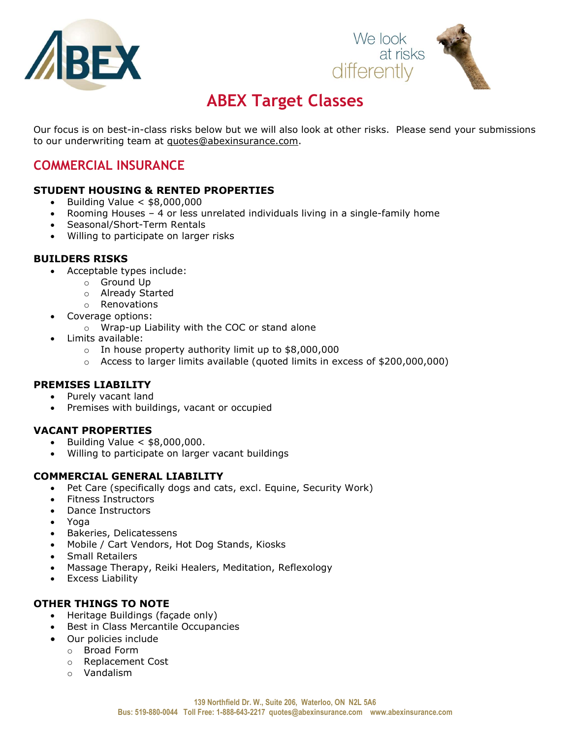



# ABEX Target Classes

Our focus is on best-in-class risks below but we will also look at other risks. Please send your submissions to our underwriting team at quotes@abexinsurance.com.

## COMMERCIAL INSURANCE

#### STUDENT HOUSING & RENTED PROPERTIES

- $\bullet$  Building Value  $\lt$  \$8,000,000
- Rooming Houses 4 or less unrelated individuals living in a single-family home
- Seasonal/Short-Term Rentals
- Willing to participate on larger risks

#### BUILDERS RISKS

- Acceptable types include:
	- o Ground Up
	- o Already Started
	- o Renovations
- Coverage options:
	- o Wrap-up Liability with the COC or stand alone
- Limits available:
	- o In house property authority limit up to \$8,000,000
	- $\circ$  Access to larger limits available (quoted limits in excess of \$200,000,000)

#### PREMISES LIABILITY

- Purely vacant land
- Premises with buildings, vacant or occupied

#### VACANT PROPERTIES

- Building Value < \$8,000,000.
- Willing to participate on larger vacant buildings

#### COMMERCIAL GENERAL LIABILITY

- Pet Care (specifically dogs and cats, excl. Equine, Security Work)
- Fitness Instructors
- Dance Instructors
- Yoga
- Bakeries, Delicatessens
- Mobile / Cart Vendors, Hot Dog Stands, Kiosks
- Small Retailers
- Massage Therapy, Reiki Healers, Meditation, Reflexology
- **•** Excess Liability

#### OTHER THINGS TO NOTE

- Heritage Buildings (façade only)
- Best in Class Mercantile Occupancies
- Our policies include
	- o Broad Form
	- o Replacement Cost
	- o Vandalism